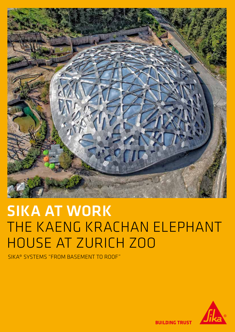

# SIKA AT WORK THE KAENG KRACHAN ELEPHANT HOUSE AT ZURICH ZOO

SIKA® SYSTEMS "FROM BASEMENT TO ROOF"



**BUILDING TRUST**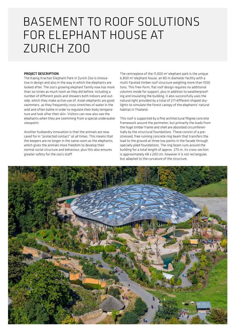# BASEMENT TO ROOF SOLUTIONS FOR ELEPHANT HOUSE AT ZURICH ZOO

#### PROJECT DESCRIPTION

The Kaeng Krachan Elephant Park in Zurich Zoo is innovative in design and also in the way in which the elephants are looked after. The zoo's growing elephant family now has more than six times as much room as they did before, including a number of different pools and showers both indoors and outside, which they make active use of. Asian elephants are good swimmers, as they frequently cross stretches of water in the wild and often bathe in order to regulate their body temperature and look after their skin. Visitors can now also see the elephants when they are swimming from a special underwater viewpoint.

Another husbandry innovation is that the animals are now cared for in "protected contact" at all times. This means that the keepers are no longer in the same room as the elephants, which gives the animals more freedom to develop their normal social structure and behaviour, plus this also ensures greater safety for the zoo's staff.

The centrepiece of the 11,000  $m^2$  elephant park is the unique 6,800 m2 elephant house, an 80 m diameter facility with a multi-faceted timber roof structure weighing more than 1500 tons. This free-form, flat roof design requires no additional columns inside for support, plus in addition to weatherproofing and insulating the building, it also successfully uses the natural light provided by a total of 271 different shaped skylights to simulate the forest canopy of the elephants' natural habitat in Thailand.

This roof is supported by a fine architectural filigree concrete framework around the perimeter, but primarily the loads from the huge timber frame and shell are absorbed circumferentially by the structural foundations. These consist of a prestressed, free running concrete ring beam that transfers the load to the ground at three low points in the facade through specially piled foundations. The ring beam runs around the building for a total length of approx. 270 m, its cross-section is approximately 48 x 200 cm, however it is not rectangular, but adapted to the curvature of the structure.

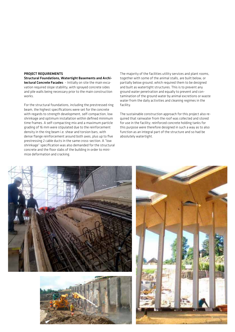#### PROJECT REQUIREMENTS

Structural Foundations, Watertight Basements and Architectural Concrete Facades: – Initially on site the main excavation required slope stability, with sprayed concrete sides and pile walls being necessary prior to the main construction works.

For the structural foundations, including the prestressed ring beam, the highest specifications were set for the concrete with regards to strength development, self-compaction, low shrinkage and optimum installation within defined minimum time frames. A self-compacting mix and a maximum particle grading of 16 mm were stipulated due to the reinforcement density in the ring beam i.e. shear and torsion bars, with dense flange reinforcement around both axes, plus up to five prestressing 2 cable ducts in the same cross-section. A "low shrinkage" specification was also demanded for the structural concrete and the floor slabs of the building in order to minimize deformation and cracking.

The majority of the facilities utility services and plant rooms, together with some of the animal stalls, are built below, or partially below ground, which required them to be designed and built as watertight structures. This is to prevent any ground water penetration and equally to prevent and contamination of the ground water by animal excretions or waste water from the daily activities and cleaning regimes in the facility.

The sustainable construction approach for this project also required that rainwater from the roof was collected and stored for use in the facility; reinforced concrete holding tanks for this purpose were therefore designed in such a way as to also function as an integral part of the structure and so had be absolutely watertight.





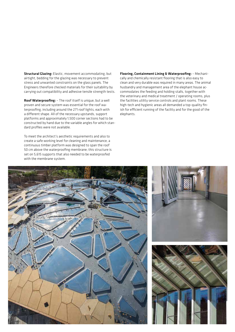**Structural Glazing:** Elastic, movement accommodating, but airtight, bedding for the glazing was necessary to prevent stress and unwanted constraints on the glass panels. The Engineers therefore checked materials for their suitability by carrying out compatibility and adhesive tensile strength tests.

Roof Waterproofing: – The roof itself is unique, but a well proven and secure system was essential for the roof waterproofing, including around the 271 roof lights, each with a different shape. All of the necessary upstands, support platforms and approximately 1,500 corner sections had to be constructed by hand due to the variable angles for which standard profiles were not available.

To meet the architect's aesthetic requirements and also to create a safe working level for cleaning and maintenance, a continuous timber platform was designed to span the roof 50 cm above the waterproofing membrane; this structure is set on 5,615 supports that also needed to be waterproofed with the membrane system.

Flooring, Containment Lining & Waterproofing: – Mechanically and chemically resistant flooring that is also easy to clean and very durable was required in many areas. The animal husbandry and management area of the elephant house accommodates the feeding and holding stalls, together with the veterinary and medical treatment / operating rooms, plus the facilities utility service controls and plant rooms. These high-tech and hygienic areas all demanded a top-quality finish for efficient running of the facility and for the good of the elephants.





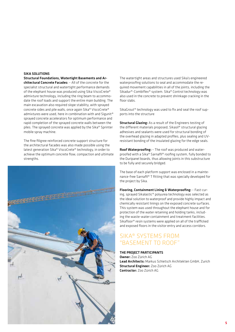#### SIKA SOLUTIONS

Structural Foundations, Watertight Basements and Architectural Concrete Facades: – All of the concrete for the specialist structural and watertight performance demands of the elephant house was produced using Sika ViscoCrete® admixture technology, including the ring beam to accommodate the roof loads and support the entire main building. The main excavation also required slope stability, with sprayed concrete sides and pile walls, once again Sika® ViscoCrete® admixtures were used, here in combination with and Sigunit® sprayed concrete accelerators for optimum performance and rapid completion of the sprayed concrete walls between the piles. The sprayed concrete was applied by the Sika® Sprinter mobile spray machine.

The fine filigree reinforced concrete support structure for the architectural facades was also made possible using the latest generation Sika® ViscoCrete® technology, in order to achieve the optimum concrete flow, compaction and ultimate strengths.



The watertight areas and structures used Sika's engineered waterproofing solutions to seal and accommodate the required movement capabilities in all of the joints, including the Sikadur®-Combiflex® system. Sika® Control technology was also used in the concrete to prevent shrinkage cracking in the floor slabs.

SikaGrout® technology was used to fix and seal the roof supports into the structure

**Structural Glazing:** As a result of the Engineers testing of the different materials proposed, Sikasil® structural glazing adhesives and sealants were used for structural bonding of the overhead glazing in adapted profiles, plus sealing and UVresistant bonding of the insulated glazing for the edge seals.

Roof Waterproofing: – The roof was produced and waterproofed with a Sika® Sarnafil® roofing system, fully bonded to the Duripanel boards, thus allowing joints in this substructure to be fully and securely bridged.

The base of each platform support was enclosed in a maintenance-free Sarnafil® T fitting that was specially developed for the project by Sika.

Flooring, Containment Lining & Waterproofing: – Fast-curing, sprayed Sikalastic® polyurea technology was selected as the ideal solution to waterproof and provide highly impact and chemically resistant linings on the exposed concrete surfaces. This system was used throughout the elephant house and for protection of the water retaining and holding tanks, including the waste-water containment and treatment facilities. Sikafloor® resin systems were applied on all of the trafficked and exposed floors in the visitor entry and access corridors.

### SIKA® SYSTEMS FROM "BASEMENT TO ROOF"

#### THE PROJECT PARTICIPANTS

Owner: Zoo Zürich AG Lead Architects: Markus Schietsch Architekten GmbH, Zurich Structural Engineer: Zoo Zürich AG Contractor: Zoo Zürich AG